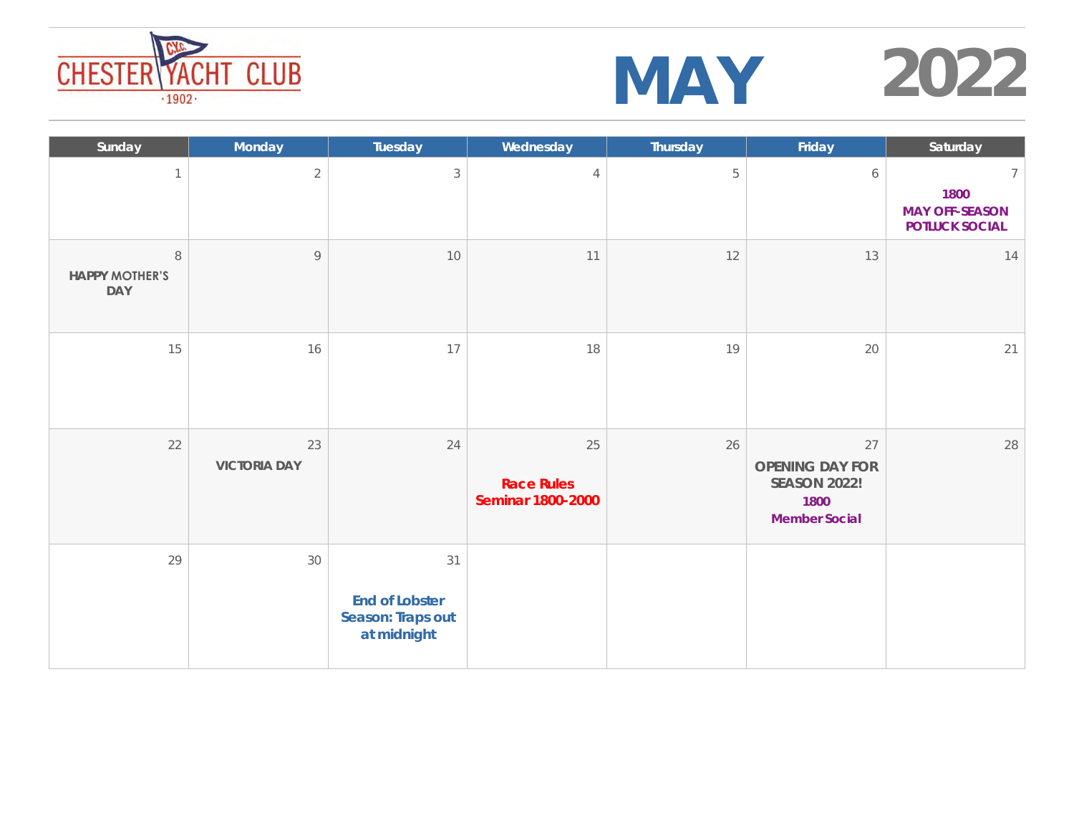

| Sunday                           | Monday                    | Tuesday                                                  | Wednesday                                    | Thursday | Friday                                                                       | Saturday                                        |
|----------------------------------|---------------------------|----------------------------------------------------------|----------------------------------------------|----------|------------------------------------------------------------------------------|-------------------------------------------------|
| $\mathcal{I}$                    | $\overline{2}$            | 3                                                        | $\overline{4}$                               | 5        | 6                                                                            | 1800<br><b>MAY OFF-SEASON</b><br>POTLUCK SOCIAL |
| $\,8\,$<br>HAPPY MOTHER'S<br>DAY | $\,9$                     | 10                                                       | 11                                           | 12       | 13                                                                           | 14                                              |
| 15                               | 16                        | 17                                                       | 18                                           | 19       | 20                                                                           | 21                                              |
| 22                               | 23<br><b>VICTORIA DAY</b> | 24                                                       | 25<br><b>Race Rules</b><br>Seminar 1800-2000 | 26       | 27<br>OPENING DAY FOR<br><b>SEASON 2022!</b><br>1800<br><b>Member Social</b> | 28                                              |
| 29                               | 30                        | 31<br>End of Lobster<br>Season: Traps out<br>at midnight |                                              |          |                                                                              |                                                 |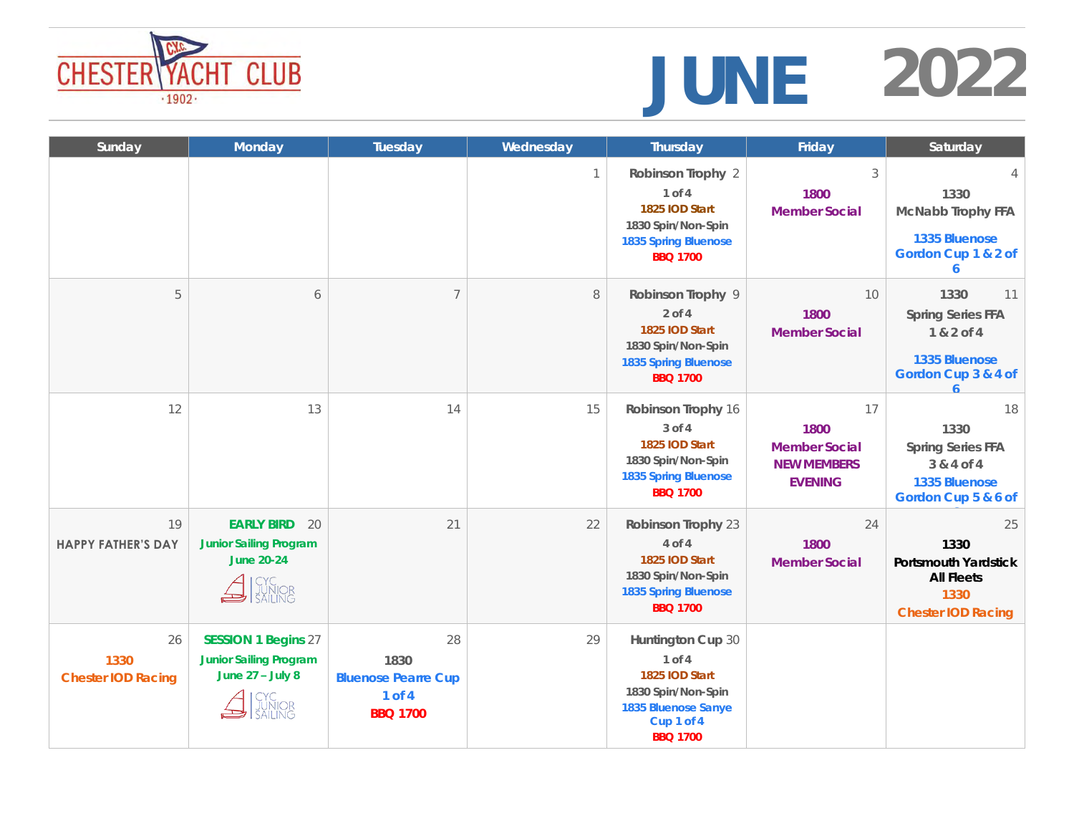# **CHESTER YACHT CLUB**<br> *CHESTER YACHT CLUB*



| Sunday                           | Monday                                                                                                                            | Tuesday                                                                   | Wednesday | Thursday                                                                                                                    | Friday                                                                     | Saturday                                                                                     |
|----------------------------------|-----------------------------------------------------------------------------------------------------------------------------------|---------------------------------------------------------------------------|-----------|-----------------------------------------------------------------------------------------------------------------------------|----------------------------------------------------------------------------|----------------------------------------------------------------------------------------------|
|                                  |                                                                                                                                   |                                                                           | 1         | Robinson Trophy 2<br>1 of 4<br>1825 IOD Start<br>1830 Spin/Non-Spin<br>1835 Spring Bluenose<br><b>BBQ 1700</b>              | 3<br>1800<br><b>Member Social</b>                                          | 1330<br>McNabb Trophy FFA<br>1335 Bluenose<br>Gordon Cup 1 & 2 of<br>6                       |
| 5                                | $\acute{\rm{o}}$                                                                                                                  | 7                                                                         | 8         | Robinson Trophy 9<br>$2$ of $4$<br>1825 IOD Start<br>1830 Spin/Non-Spin<br>1835 Spring Bluenose<br><b>BBQ 1700</b>          | 10<br>1800<br><b>Member Social</b>                                         | 1330<br>11<br>Spring Series FFA<br>1 & 2 of 4<br>1335 Bluenose<br>Gordon Cup 3 & 4 of        |
| 12                               | 13                                                                                                                                | 14                                                                        | 15        | Robinson Trophy 16<br>3 of 4<br>1825 IOD Start<br>1830 Spin/Non-Spin<br>1835 Spring Bluenose<br><b>BBQ 1700</b>             | 17<br>1800<br><b>Member Social</b><br><b>NEW MEMBERS</b><br><b>EVENING</b> | 18<br>1330<br>Spring Series FFA<br>3 & 4 of 4<br>1335 Bluenose<br>Gordon Cup 5 & 6 of        |
| 19<br><b>HAPPY FATHER'S DAY</b>  | <b>EARLY BIRD</b><br>20<br><b>Junior Sailing Program</b><br>June 20-24<br>$\bigtriangleup$ $\bigcap_{\text{SALING}}^{\text{CYC}}$ | 21                                                                        | 22        | Robinson Trophy 23<br>4 of 4<br>1825 IOD Start<br>1830 Spin/Non-Spin<br>1835 Spring Bluenose<br><b>BBQ 1700</b>             | 24<br>1800<br>Member Social                                                | 25<br>1330<br>Portsmouth Yardstick<br><b>All Fleets</b><br>1330<br><b>Chester IOD Racing</b> |
| 26<br>1330<br>Chester IOD Racing | <b>SESSION 1 Begins 27</b><br><b>Junior Sailing Program</b><br>June $27 -$ July 8                                                 | 28<br>1830<br><b>Bluenose Pearre Cup</b><br>$1$ of $4$<br><b>BBQ 1700</b> | 29        | Huntington Cup 30<br>1 of 4<br>1825 IOD Start<br>1830 Spin/Non-Spin<br>1835 Bluenose Sanye<br>Cup 1 of 4<br><b>BBQ 1700</b> |                                                                            |                                                                                              |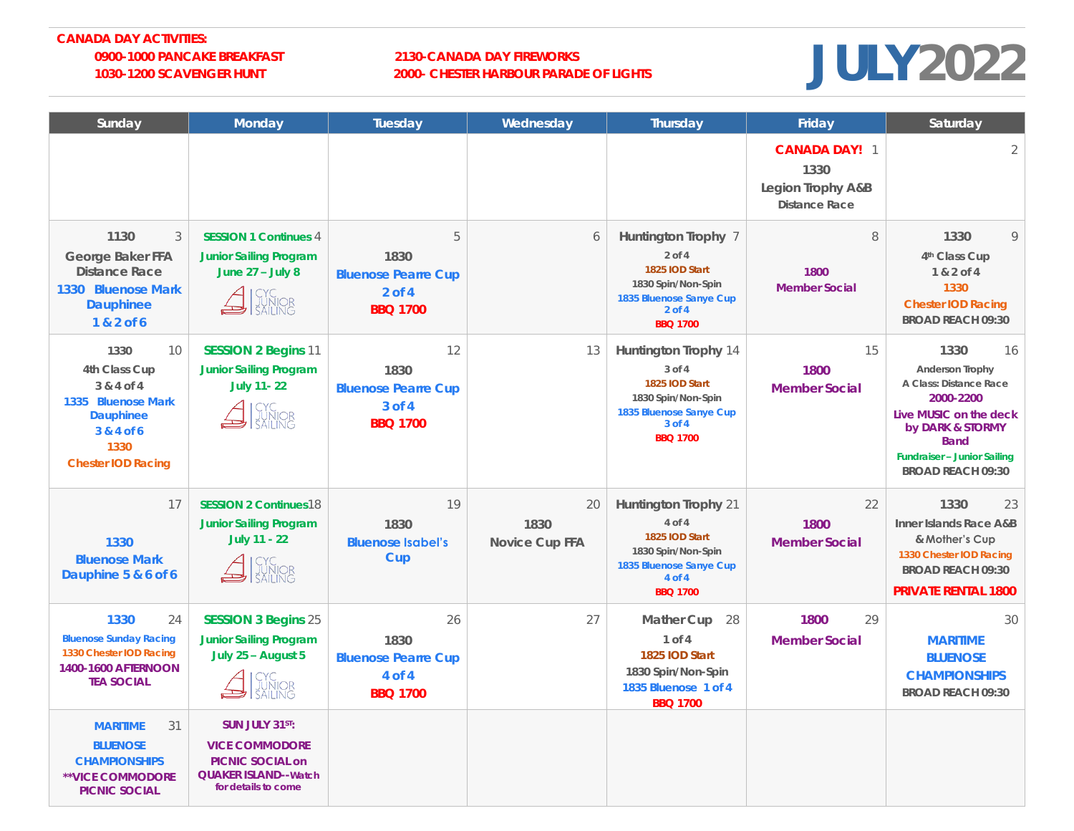#### **CANADA DAY ACTIVITIES: 0900-1000 PANCAKE BREAKFAST 2130-CANADA DAY FIREWORKS**

### **1030-1200 SCAVENGER HUNT 2000- CHESTER HARBOUR PARADE OF LIGHTS**

### **JULY2022**

| Sunday                                                                                                                   | Monday                                                                                                     | Tuesday                                                                   | Wednesday                    | Thursday                                                                                                                            | Friday                                                      | Saturday                                                                                                                                                                                     |
|--------------------------------------------------------------------------------------------------------------------------|------------------------------------------------------------------------------------------------------------|---------------------------------------------------------------------------|------------------------------|-------------------------------------------------------------------------------------------------------------------------------------|-------------------------------------------------------------|----------------------------------------------------------------------------------------------------------------------------------------------------------------------------------------------|
|                                                                                                                          |                                                                                                            |                                                                           |                              |                                                                                                                                     | CANADA DAY! 1<br>1330<br>Legion Trophy A&B<br>Distance Race | $\overline{2}$                                                                                                                                                                               |
| 1130<br>3<br>George Baker FFA<br>Distance Race<br>1330 Bluenose Mark<br>Dauphinee<br>1 & 2 of 6                          | <b>SESSION 1 Continues 4</b><br><b>Junior Sailing Program</b><br>June $27 -$ July 8                        | 5<br>1830<br><b>Bluenose Pearre Cup</b><br>$2$ of 4<br><b>BBQ 1700</b>    | 6                            | Huntington Trophy 7<br>$2$ of $4$<br>1825 IOD Start<br>1830 Spin/Non-Spin<br>1835 Bluenose Sanye Cup<br>$2$ of 4<br><b>BBQ 1700</b> | 8<br>1800<br><b>Member Social</b>                           | 1330<br>Q<br>4th Class Cup<br>1 & 2 of 4<br>1330<br>Chester IOD Racing<br><b>BROAD REACH 09:30</b>                                                                                           |
| 1330<br>10<br>4th Class Cup<br>3 & 4 of 4<br>1335 Bluenose Mark<br>Dauphinee<br>3 & 4 of 6<br>1330<br>Chester IOD Racing | <b>SESSION 2 Begins 11</b><br><b>Junior Sailing Program</b><br>July 11-22                                  | 12<br>1830<br><b>Bluenose Pearre Cup</b><br>$3$ of $4$<br><b>BBQ 1700</b> | 13                           | Huntington Trophy 14<br>3 of 4<br>1825 IOD Start<br>1830 Spin/Non-Spin<br>1835 Bluenose Sanye Cup<br>3 of 4<br><b>BBQ 1700</b>      | 15<br>1800<br><b>Member Social</b>                          | 1330<br>16<br>Anderson Trophy<br>A Class: Distance Race<br>2000-2200<br>Live MUSIC on the deck<br>by DARK & STORMY<br><b>Band</b><br>Fundraiser - Junior Sailing<br><b>BROAD REACH 09:30</b> |
| 17<br>1330<br><b>Bluenose Mark</b><br>Dauphine 5 & 6 of 6                                                                | <b>SESSION 2 Continues18</b><br><b>Junior Sailing Program</b><br>July 11 - 22<br>CYC<br>JUNIOR<br>SAILING  | 19<br>1830<br><b>Bluenose Isabel's</b><br>Cup                             | 20<br>1830<br>Novice Cup FFA | Huntington Trophy 21<br>4 of 4<br>1825 IOD Start<br>1830 Spin/Non-Spin<br>1835 Bluenose Sanye Cup<br>4 of 4<br><b>BBQ 1700</b>      | 22<br>1800<br><b>Member Social</b>                          | 1330<br>23<br>Inner Islands Race A&B<br>& Mother's Cup<br>1330 Chester IOD Racing<br><b>BROAD REACH 09:30</b><br>PRIVATE RENTAL 1800                                                         |
| 1330<br>24<br><b>Bluenose Sunday Racing</b><br>1330 Chester IOD Racing<br>1400-1600 AFTERNOON<br><b>TEA SOCIAL</b>       | <b>SESSION 3 Begins 25</b><br><b>Junior Sailing Program</b><br>July 25 - August 5                          | 26<br>1830<br><b>Bluenose Pearre Cup</b><br>4 of 4<br><b>BBQ 1700</b>     | 27                           | Mather Cup<br>28<br>1 of 4<br>1825 IOD Start<br>1830 Spin/Non-Spin<br>1835 Bluenose 1 of 4<br><b>BBQ 1700</b>                       | 1800<br>29<br><b>Member Social</b>                          | 30<br><b>MARITIME</b><br><b>BLUENOSE</b><br><b>CHAMPIONSHIPS</b><br>BROAD REACH 09:30                                                                                                        |
| <b>MARITIME</b><br>31<br><b>BLUENOSE</b><br><b>CHAMPIONSHIPS</b><br>**VICE COMMODORE<br>PICNIC SOCIAL                    | SUN JULY 31ST:<br><b>VICE COMMODORE</b><br>PICNIC SOCIAL on<br>QUAKER ISLAND--Watch<br>for details to come |                                                                           |                              |                                                                                                                                     |                                                             |                                                                                                                                                                                              |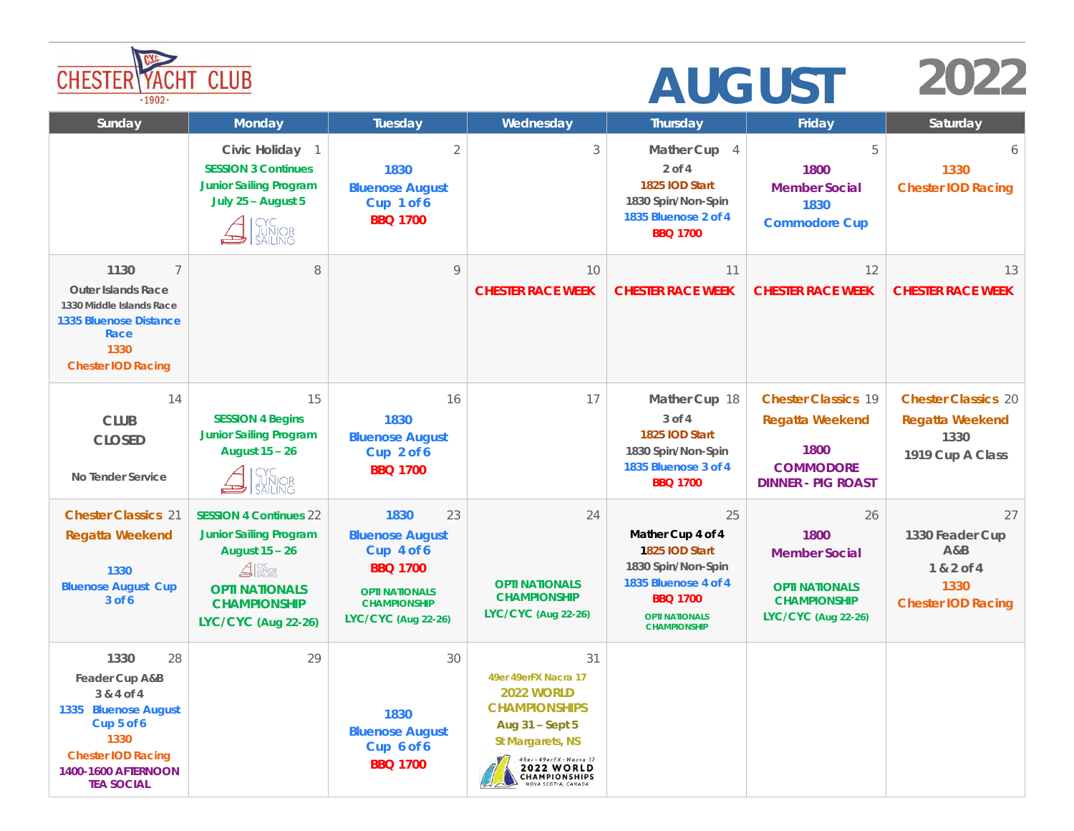| <b>CHESTER\YACHT</b><br><b>CLUB</b><br>.1902.                                                                                                              |                                                                                                                                                                        |                                                                                                                                              |                                                                                                                                                                                                         | <b>AUGUST</b>                                                                                                                                              |                                                                                                           |                                                                                 |  |
|------------------------------------------------------------------------------------------------------------------------------------------------------------|------------------------------------------------------------------------------------------------------------------------------------------------------------------------|----------------------------------------------------------------------------------------------------------------------------------------------|---------------------------------------------------------------------------------------------------------------------------------------------------------------------------------------------------------|------------------------------------------------------------------------------------------------------------------------------------------------------------|-----------------------------------------------------------------------------------------------------------|---------------------------------------------------------------------------------|--|
| Sunday                                                                                                                                                     | Monday                                                                                                                                                                 | Tuesday                                                                                                                                      | Wednesday                                                                                                                                                                                               | Thursday                                                                                                                                                   | Friday                                                                                                    | Saturday                                                                        |  |
|                                                                                                                                                            | Civic Holiday 1<br><b>SESSION 3 Continues</b><br><b>Junior Sailing Program</b><br>July 25 - August 5                                                                   | $\overline{2}$<br>1830<br><b>Bluenose August</b><br>Cup 1 of 6<br><b>BBQ 1700</b>                                                            | 3                                                                                                                                                                                                       | Mather Cup 4<br>2 of 4<br>1825 IOD Start<br>1830 Spin/Non-Spin<br>1835 Bluenose 2 of 4<br><b>BBQ 1700</b>                                                  | 5<br>1800<br><b>Member Social</b><br>1830<br>Commodore Cup                                                | 6<br>1330<br><b>Chester IOD Racing</b>                                          |  |
| 1130<br>7<br>Outer Islands Race<br>1330 Middle Islands Race<br>1335 Bluenose Distance<br>Race<br>1330<br>Chester IOD Racing                                | 8                                                                                                                                                                      | 9                                                                                                                                            | 10<br><b>CHESTER RACE WEEK</b>                                                                                                                                                                          | 11<br><b>CHESTER RACE WEEK</b>                                                                                                                             | 12<br><b>CHESTER RACE WEEK</b>                                                                            | 13<br><b>CHESTER RACE WEEK</b>                                                  |  |
| 14<br><b>CLUB</b><br><b>CLOSED</b><br>No Tender Service                                                                                                    | 15<br><b>SESSION 4 Begins</b><br><b>Junior Sailing Program</b><br>August 15 - 26                                                                                       | 16<br>1830<br><b>Bluenose August</b><br>Cup 2 of 6<br><b>BBQ 1700</b>                                                                        | 17                                                                                                                                                                                                      | Mather Cup 18<br>$3$ of $4$<br>1825 IOD Start<br>1830 Spin/Non-Spin<br>1835 Bluenose 3 of 4<br><b>BBQ 1700</b>                                             | <b>Chester Classics 19</b><br>Regatta Weekend<br>1800<br><b>COMMODORE</b><br><b>DINNER - PIG ROAST</b>    | <b>Chester Classics 20</b><br>Regatta Weekend<br>1330<br>1919 Cup A Class       |  |
| <b>Chester Classics 21</b><br>Regatta Weekend<br>1330<br><b>Bluenose August Cup</b><br>$3$ of 6                                                            | <b>SESSION 4 Continues 22</b><br><b>Junior Sailing Program</b><br>August 15 - 26<br>$\triangle$<br><b>OPTI NATIONALS</b><br><b>CHAMPIONSHIP</b><br>LYC/CYC (Aug 22-26) | 1830<br>23<br><b>Bluenose August</b><br>Cup 4 of 6<br><b>BBQ 1700</b><br><b>OPTI NATIONALS</b><br><b>CHAMPIONSHIP</b><br>LYC/CYC (Aug 22-26) | 24<br><b>OPTI NATIONALS</b><br><b>CHAMPIONSHIP</b><br>LYC/CYC (Aug 22-26)                                                                                                                               | 25<br>Mather Cup 4 of 4<br>1825 IOD Start<br>1830 Spin/Non-Spin<br>1835 Bluenose 4 of 4<br><b>BBQ 1700</b><br><b>OPTI NATIONALS</b><br><b>CHAMPIONSHIP</b> | 26<br>1800<br><b>Member Social</b><br><b>OPTI NATIONALS</b><br><b>CHAMPIONSHIP</b><br>LYC/CYC (Aug 22-26) | 27<br>1330 Feader Cup<br>A&B<br>1 & 2 of 4<br>1330<br><b>Chester IOD Racing</b> |  |
| 1330<br>28<br>Feader Cup A&B<br>3 & 4 of 4<br>1335 Bluenose August<br>Cup 5 of 6<br>1330<br>Chester IOD Racing<br>1400-1600 AFTERNOON<br><b>TEA SOCIAL</b> | 29                                                                                                                                                                     | 30<br>1830<br><b>Bluenose August</b><br>Cup 6 of 6<br><b>BBQ 1700</b>                                                                        | 31<br>49er 49erFX Nacra 17<br>2022 WORLD<br><b>CHAMPIONSHIPS</b><br>Aug 31 - Sept 5<br>St Margarets, NS<br>49er - 49erFX - Nacra 17<br><b>2022 WORLD</b><br><b>CHAMPIONSHIPS</b><br>NOVA SCOTIA, CANADA |                                                                                                                                                            |                                                                                                           |                                                                                 |  |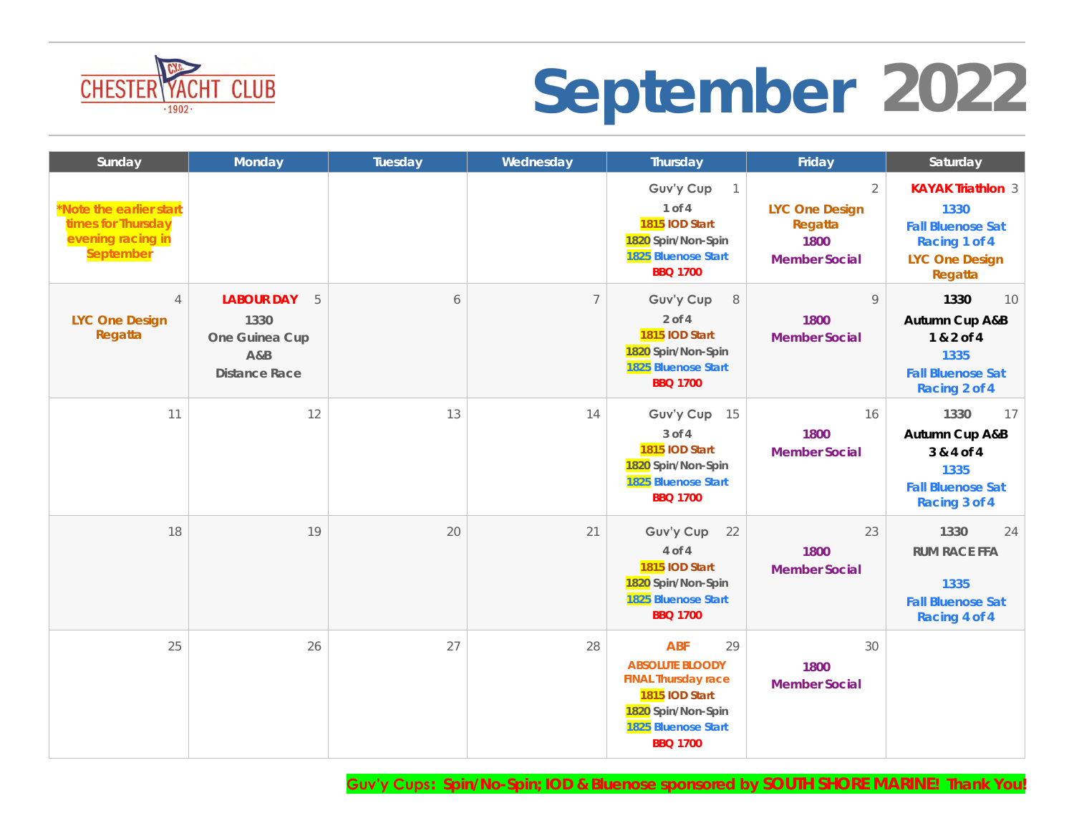

### **CHESTER YACHT CLUB**<br> **September** 2022

| Sunday                                                                          | Monday                                                                          | Tuesday | Wednesday      | Thursday                                                                                                                                     | Friday                                                                      | Saturday                                                                                                   |
|---------------------------------------------------------------------------------|---------------------------------------------------------------------------------|---------|----------------|----------------------------------------------------------------------------------------------------------------------------------------------|-----------------------------------------------------------------------------|------------------------------------------------------------------------------------------------------------|
| *Note the earlier start<br>times for Thursday<br>evening racing in<br>September |                                                                                 |         |                | Guv'y Cup<br>$\overline{1}$<br>1 of 4<br>1815 IOD Start<br>1820 Spin/Non-Spin<br>1825 Bluenose Start<br><b>BBQ 1700</b>                      | $\overline{2}$<br>LYC One Design<br>Regatta<br>1800<br><b>Member Social</b> | <b>KAYAK Triathlon 3</b><br>1330<br><b>Fall Bluenose Sat</b><br>Racing 1 of 4<br>LYC One Design<br>Regatta |
| $\overline{4}$<br>LYC One Design<br>Regatta                                     | <b>LABOUR DAY</b><br>5<br>1330<br>One Guinea Cup<br>A&B<br><b>Distance Race</b> | 6       | $\overline{7}$ | Guv'y Cup<br>$\,8\,$<br>$2$ of $4$<br>1815 IOD Start<br>1820 Spin/Non-Spin<br>1825 Bluenose Start<br><b>BBQ 1700</b>                         | 9<br>1800<br><b>Member Social</b>                                           | 1330<br>10<br>Autumn Cup A&B<br>1 & 2 of 4<br>1335<br><b>Fall Bluenose Sat</b><br>Racing 2 of 4            |
| 11                                                                              | 12                                                                              | 13      | 14             | Guv'y Cup<br>15<br>3 of 4<br>1815 IOD Start<br>1820 Spin/Non-Spin<br>1825 Bluenose Start<br><b>BBQ 1700</b>                                  | 16<br>1800<br><b>Member Social</b>                                          | 1330<br>17<br>Autumn Cup A&B<br>3 & 4 of 4<br>1335<br><b>Fall Bluenose Sat</b><br>Racing 3 of 4            |
| 18                                                                              | 19                                                                              | 20      | 21             | Guv'y Cup<br>22<br>4 of 4<br>1815 IOD Start<br>1820 Spin/Non-Spin<br>1825 Bluenose Start<br><b>BBQ 1700</b>                                  | 23<br>1800<br><b>Member Social</b>                                          | 1330<br>24<br>RUM RACE FFA<br>1335<br><b>Fall Bluenose Sat</b><br>Racing 4 of 4                            |
| 25                                                                              | 26                                                                              | 27      | 28             | ABF<br>29<br><b>ABSOLUTE BLOODY</b><br>FINAL Thursday race<br>1815 IOD Start<br>1820 Spin/Non-Spin<br>1825 Bluenose Start<br><b>BBQ 1700</b> | 30<br>1800<br><b>Member Social</b>                                          |                                                                                                            |

**Guv'y Cups: Spin/No-Spin; IOD & Bluenose sponsored by SOUTH SHORE MARINE! Thank You!**